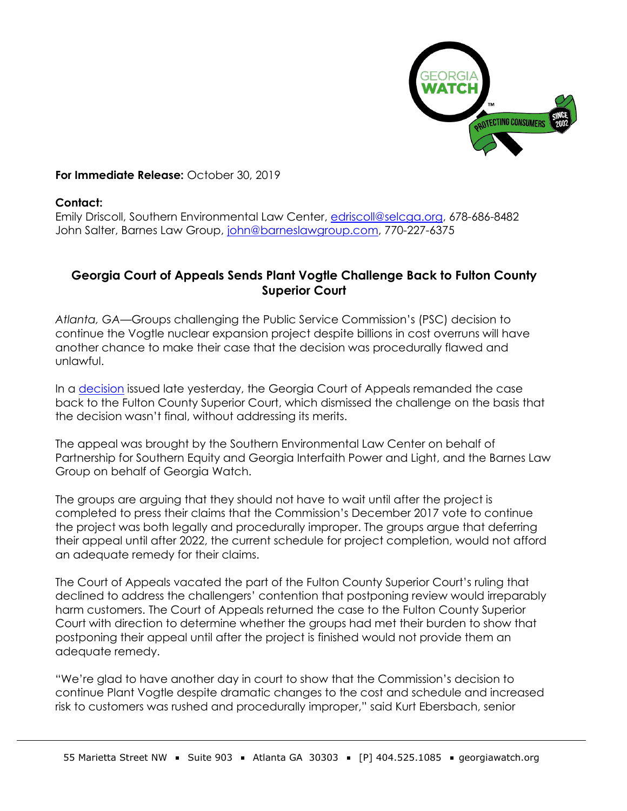

## **For Immediate Release:** October 30, 2019

## **Contact:**

Emily Driscoll, Southern Environmental Law Center, [edriscoll@selcga.org,](mailto:edriscoll@selcga.org) 678-686-8482 John Salter, Barnes Law Group, [john@barneslawgroup.com,](mailto:jsalter@barneslawgroup.com) 770-227-6375

## **Georgia Court of Appeals Sends Plant Vogtle Challenge Back to Fulton County Superior Court**

*Atlanta, GA*—Groups challenging the Public Service Commission's (PSC) decision to continue the Vogtle nuclear expansion project despite billions in cost overruns will have another chance to make their case that the decision was procedurally flawed and unlawful.

In a [decision](https://southernenvironment.sharefile.com/d-s088df0eb6ef49599) issued late yesterday, the Georgia Court of Appeals remanded the case back to the Fulton County Superior Court, which dismissed the challenge on the basis that the decision wasn't final, without addressing its merits.

The appeal was brought by the Southern Environmental Law Center on behalf of Partnership for Southern Equity and Georgia Interfaith Power and Light, and the Barnes Law Group on behalf of Georgia Watch.

The groups are arguing that they should not have to wait until after the project is completed to press their claims that the Commission's December 2017 vote to continue the project was both legally and procedurally improper. The groups argue that deferring their appeal until after 2022, the current schedule for project completion, would not afford an adequate remedy for their claims.

The Court of Appeals vacated the part of the Fulton County Superior Court's ruling that declined to address the challengers' contention that postponing review would irreparably harm customers. The Court of Appeals returned the case to the Fulton County Superior Court with direction to determine whether the groups had met their burden to show that postponing their appeal until after the project is finished would not provide them an adequate remedy.

"We're glad to have another day in court to show that the Commission's decision to continue Plant Vogtle despite dramatic changes to the cost and schedule and increased risk to customers was rushed and procedurally improper," said Kurt Ebersbach, senior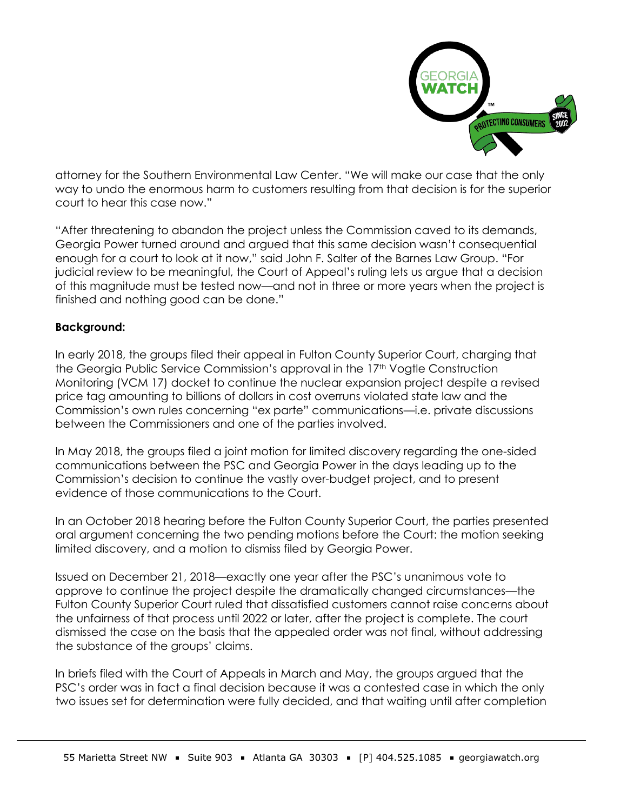

attorney for the Southern Environmental Law Center. "We will make our case that the only way to undo the enormous harm to customers resulting from that decision is for the superior court to hear this case now."

"After threatening to abandon the project unless the Commission caved to its demands, Georgia Power turned around and argued that this same decision wasn't consequential enough for a court to look at it now," said John F. Salter of the Barnes Law Group. "For judicial review to be meaningful, the Court of Appeal's ruling lets us argue that a decision of this magnitude must be tested now—and not in three or more years when the project is finished and nothing good can be done."

## **Background:**

In early 2018, the groups filed their appeal in Fulton County Superior Court, charging that the Georgia Public Service Commission's approval in the 17<sup>th</sup> Vogtle Construction Monitoring (VCM 17) docket to continue the nuclear expansion project despite a revised price tag amounting to billions of dollars in cost overruns violated state law and the Commission's own rules concerning "ex parte" communications—i.e. private discussions between the Commissioners and one of the parties involved.

In May 2018, the groups filed a joint motion for limited discovery regarding the one-sided communications between the PSC and Georgia Power in the days leading up to the Commission's decision to continue the vastly over-budget project, and to present evidence of those communications to the Court.

In an October 2018 hearing before the Fulton County Superior Court, the parties presented oral argument concerning the two pending motions before the Court: the motion seeking limited discovery, and a motion to dismiss filed by Georgia Power.

Issued on December 21, 2018—exactly one year after the PSC's unanimous vote to approve to continue the project despite the dramatically changed circumstances—the Fulton County Superior Court ruled that dissatisfied customers cannot raise concerns about the unfairness of that process until 2022 or later, after the project is complete. The court dismissed the case on the basis that the appealed order was not final, without addressing the substance of the groups' claims.

In briefs filed with the Court of Appeals in March and May, the groups argued that the PSC's order was in fact a final decision because it was a contested case in which the only two issues set for determination were fully decided, and that waiting until after completion